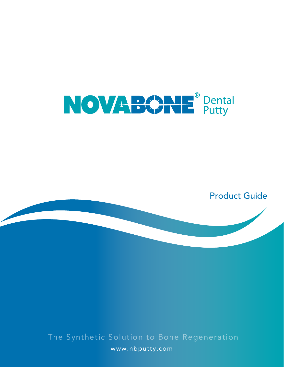

Product Guide

The Synthetic Solution to Bone Regeneration www.nbputty.com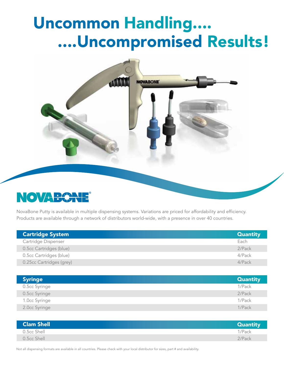## Uncommon Handling.... ....Uncompromised Results!



### **NOVABC**

NovaBone Putty is available in multiple dispensing systems. Variations are priced for affordability and efficiency. Products are available through a network of distributors world-wide, with a presence in over 40 countries.

| <b>Cartridge System</b>  | <b>Quantity</b> |
|--------------------------|-----------------|
| Cartridge Dispenser      | Each            |
| 0.5cc Cartridges (blue)  | 2/Pack          |
| 0.5cc Cartridges (blue)  | 4/Pack          |
| 0.25cc Cartridges (grey) | $4$ /Pack       |

| <b>Syringe</b> | <b>Quantity</b> |
|----------------|-----------------|
| 0.5cc Syringe  | 1/Pack          |
| 0.5cc Syringe  | 2/Pack          |
| 1.0cc Syringe  | 1/Pack          |
| 2.0cc Syringe  | 1/Pack          |

| Clam Shell  | <b>Quantity</b> |
|-------------|-----------------|
| 0.5cc Shell | 1/Pack          |
| 0.5cc Shell | 2/Pack          |

Not all dispensing formats are available in all countries. Please check with your local distributor for sizes, part # and availability.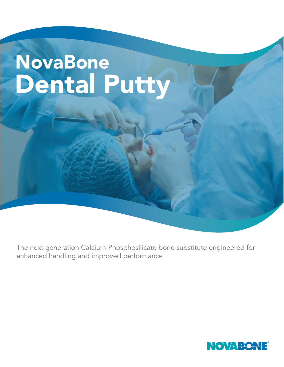# NovaBone Dental Putty

The next generation Calcium-Phosphosilicate bone substitute engineered for enhanced handling and improved performance

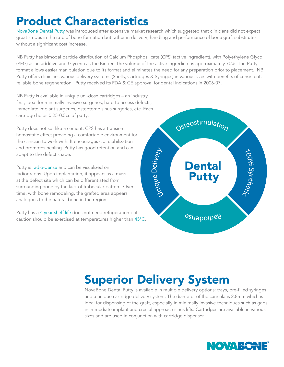### Product Characteristics

NovaBone Dental Putty was introduced after extensive market research which suggested that clinicians did not expect great strides in the rate of bone formation but rather in delivery, handling and performance of bone graft substitutes without a significant cost increase.

NB Putty has bimodal particle distribution of Calcium Phosphosilicate (CPS) (active ingredient), with Polyethylene Glycol (PEG) as an additive and Glycerin as the Binder. The volume of the active ingredient is approximately 70%. The Putty format allows easier manipulation due to its format and eliminates the need for any preparation prior to placement. NB Putty offers clinicians various delivery systems (Shells, Cartridges & Syringes) in various sizes with benefits of consistent, reliable bone regeneration. Putty received its FDA & CE approval for dental indications in 2006-07.

NB Putty is available in unique uni-dose cartridges – an industry first; ideal for minimally invasive surgeries, hard to access defects, immediate implant surgeries, osteotome sinus surgeries, etc. Each cartridge holds 0.25-0.5cc of putty.

Putty does not set like a cement. CPS has a transient hemostatic effect providing a comfortable environment for the clinician to work with. It encourages clot stabilization and promotes healing. Putty has good retention and can adapt to the defect shape.

Putty is radio-dense and can be visualized on radiographs. Upon implantation, it appears as a mass at the defect site which can be differentiated from surrounding bone by the lack of trabecular pattern. Over time, with bone remodeling, the grafted area appears analogous to the natural bone in the region.

Putty has a 4 year shelf life does not need refrigeration but caution should be exercised at temperatures higher than 45ºC.



## Superior Delivery System

NovaBone Dental Putty is available in multiple delivery options: trays, pre-filled syringes and a unique cartridge delivery system. The diameter of the cannula is 2.8mm which is ideal for dispensing of the graft, especially in minimally invasive techniques such as gaps in immediate implant and crestal approach sinus lifts. Cartridges are available in various sizes and are used in conjunction with cartridge dispenser.

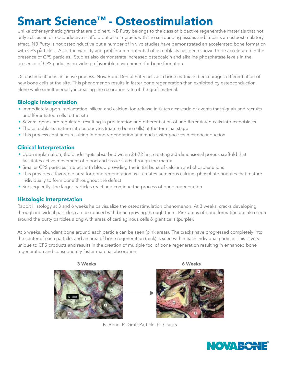### Smart Science™ - Osteostimulation

Unlike other synthetic grafts that are bioinert, NB Putty belongs to the class of bioactive regenerative materials that not only acts as an osteoconductive scaffold but also interacts with the surrounding tissues and imparts an osteostimulatory effect. NB Putty is not osteoinductive but a number of in vivo studies have demonstrated an accelerated bone formation with CPS particles. Also, the viability and proliferation potential of osteoblasts has been shown to be accelerated in the presence of CPS particles. Studies also demonstrate increased osteocalcin and alkaline phosphatase levels in the presence of CPS particles providing a favorable environment for bone formation.

Osteostimulation is an active process. NovaBone Dental Putty acts as a bone matrix and encourages differentiation of new bone cells at the site. This phenomenon results in faster bone regeneration than exhibited by osteoconduction alone while simultaneously increasing the resorption rate of the graft material.

### Biologic Interpretation

- Immediately upon implantation, silicon and calcium ion release initiates a cascade of events that signals and recruits undifferentiated cells to the site
- Several genes are regulated, resulting in proliferation and differentiation of undifferentiated cells into osteoblasts
- The osteoblasts mature into osteocytes (mature bone cells) at the terminal stage
- This process continues resulting in bone regeneration at a much faster pace than osteoconduction

### Clinical Interpretation

- Upon implantation, the binder gets absorbed within 24-72 hrs, creating a 3-dimensional porous scaffold that facilitates active movement of blood and tissue fluids through the matrix
- Smaller CPS particles interact with blood providing the initial burst of calcium and phosphate ions
- This provides a favorable area for bone regeneration as it creates numerous calcium phosphate nodules that mature individually to form bone throughout the defect
- Subsequently, the larger particles react and continue the process of bone regeneration

#### Histologic Interpretation

Rabbit Histology at 3 and 6 weeks helps visualize the osteostimulation phenomenon. At 3 weeks, cracks developing through individual particles can be noticed with bone growing through them. Pink areas of bone formation are also seen around the putty particles along with areas of cartilaginous cells & giant cells (purple).

At 6 weeks, abundant bone around each particle can be seen (pink areas). The cracks have progressed completely into the center of each particle, and an area of bone regeneration (pink) is seen within each individual particle. This is very unique to CPS products and results in the creation of multiple foci of bone regeneration resulting in enhanced bone regeneration and consequently faster material absorption!



B- Bone, P- Graft Particle, C- Cracks

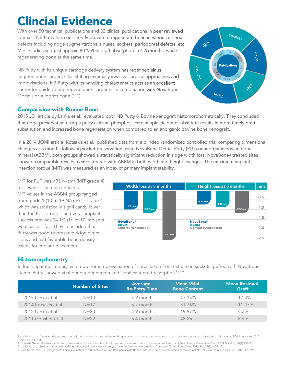## Clincial Evidence

With over 50 technical publications and 32 clinical publications in peer reviewed journals, NB Putty has consistently proven to regenerate bone in various osseous defects including ridge augmentations, sinuses, sockets, periodontal defects, etc. Most studies suggest approx. 80%-90% graft absorption in 4-6 months, while regenerating bone at the same time.

NB Putty with its unique cartridge delivery system has redefined sinus augmentation surgeries facilitating minimally invasive surgical approaches and improvisations. NB Putty with its handling characteristics acts as an excellent carrier for guided bone regeneration surgeries in combination with NovaBone Morsels or Allograft bone (1:1).

#### Comparision with Bovine Bone

2015 JOI article by Lanka et al., evaluated both NB Putty & Bovine xenograft histomorphometrically. They concluded that ridge preservation using a putty calcium phosphosilicate alloplastic bone substitute results in more timely graft substitution and increased bone regeneration when compared to an anorganic bovine bone xenograft.

In a 2014 JOMI article, Kotsakis et al., published data from a blinded randomized controlled trial comparing dimensional changes at 5 months following socket preservation using NovaBone Dental Putty (PUT) or anorganic bovine bone mineral (ABBM), both groups showed a statistically significant reduction in ridge width loss. NovaBone® treated sites showed comparable results to sites treated with ABBM in both width and height changes. The maximum implant insertion torque (MIT) was measured as an index of primary implant stability.

MIT for PUT was  $\leq$ 35 N/cm<sup>2</sup> (MIT grade 4) for seven of the nine implants. MIT values in the ABBM group ranged from grade 1 (10 to 19 N/cm²) to grade 4, which was statistically significantly lower than the PUT group. The overall implant success rate was 94.1% (16 of 17 implants were successful). They concluded that Putty was good to preserve ridge dimensions and had favorable bone density values for implant placement.



#### Histomorphometry

Dental Putty showed vital bone regeneration and significant graft resorption.<sup>1,2,3,4</sup> In four separate studies, histomorphometric evaluation of cores taken from extraction sockets grafted with NovaBone

|                                   | <b>Number of Sites</b> | <b>Average</b><br><b>Re-Entry Time</b> | <b>Mean Vital</b><br><b>Bone Content</b> | <b>Mean Residual</b><br><b>Graft</b> |
|-----------------------------------|------------------------|----------------------------------------|------------------------------------------|--------------------------------------|
| 2015 Lanka et al. <sup>1</sup>    | $N = 10$               | 4.9 months                             | 47.15%                                   | 17.4%                                |
| 2014 Kotsakis et al. <sup>2</sup> | $N=17$                 | 5.7 months                             | 31.76%                                   | 11.47%                               |
| 2012 Lanka et al. <sup>3</sup>    | $N = 20$               | 4.9 months                             | 49.57%                                   | 4.3%                                 |
| 2011 Gonshor et al. <sup>4</sup>  | $N=22$                 | 5.4 months                             | 48.2%                                    | $2.4\%$                              |

1. Lanka M. et al. Alveolar ridge preservation with the socket-plug technique utilizing an alloplastic putty bone substitute or a particulate xenograft: a histological pilot study. J Oral Implantol 2015 Apr; 41(2):178-83

2. Kotsakis GA, et al. Histomorphometric evaluation of a calcium-phosphosilicate putty bone substitute in extraction sockets. Int. J Periodontics Restorative Dent. 2014 Mar-Apr; 34(2):233-9

3. Lanka M, et al. Socket grafting with calcium phosphosilicate alloplast putty: a histomorphometric evaluation. Compend Contin Educ Dent. 2012 Sep;33(8):e109-15.

4. Gonshor A, et al. Histologic and Clinical Evaluation of a Bioactive Calcium Phosphosilicate Bone Graft Material in Postextraction Alveolar Sockets. Int J Oral Imp and Clin Res. 2011;2(2): 79-84.

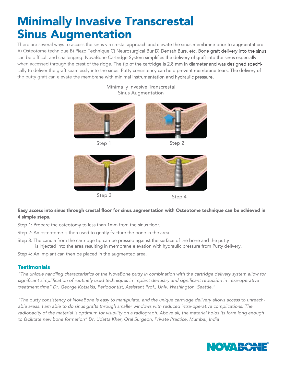### Minimally Invasive Transcrestal Sinus Augmentation

There are several ways to access the sinus via crestal approach and elevate the sinus membrane prior to augmentation: A) Osteotome technique B) Piezo Technique C) Neurosurgical Bur D) Densah Burs, etc. Bone graft delivery into the sinus can be difficult and challenging. NovaBone Cartridge System simplifies the delivery of graft into the sinus especially when accessed through the crest of the ridge. The tip of the cartridge is 2.8 mm in diameter and was designed specifically to deliver the graft seamlessly into the sinus. Putty consistency can help prevent membrane tears. The delivery of the putty graft can elevate the membrane with minimal instrumentation and hydraulic pressure.

Minimally Invasive Transcrestal



Step 3



#### Easy access into sinus through crestal floor for sinus augmentation with Osteotome technique can be achieved in 4 simple steps.

Step 1: Prepare the osteotomy to less than 1mm from the sinus floor.

- Step 2: An osteotome is then used to gently fracture the bone in the area.
- Step 3: The canula from the cartridge tip can be pressed against the surface of the bone and the putty is injected into the area resulting in membrane elevation with hydraulic pressure from Putty delivery.

Step 4: An implant can then be placed in the augmented area.

### **Testimonials**

*"The unique handling characteristics of the NovaBone putty in combination with the cartridge delivery system allow for significant simplification of routinely used techniques in implant dentistry and significant reduction in intra-operative treatment time" Dr. George Kotsakis, Periodontist, Assistant Prof., Univ. Washington, Seattle."*

*"The putty consistency of NovaBone is easy to manipulate, and the unique cartridge delivery allows access to unreach*able areas. I am able to do sinus grafts through smaller windows with reduced intra-operative complications. The radiopacity of the material is optimum for visibility on a radiograph. Above all, the material holds its form long enough *to facilitate new bone formation" Dr. Udatta Kher, Oral Surgeon, Private Practice, Mumbai, India*